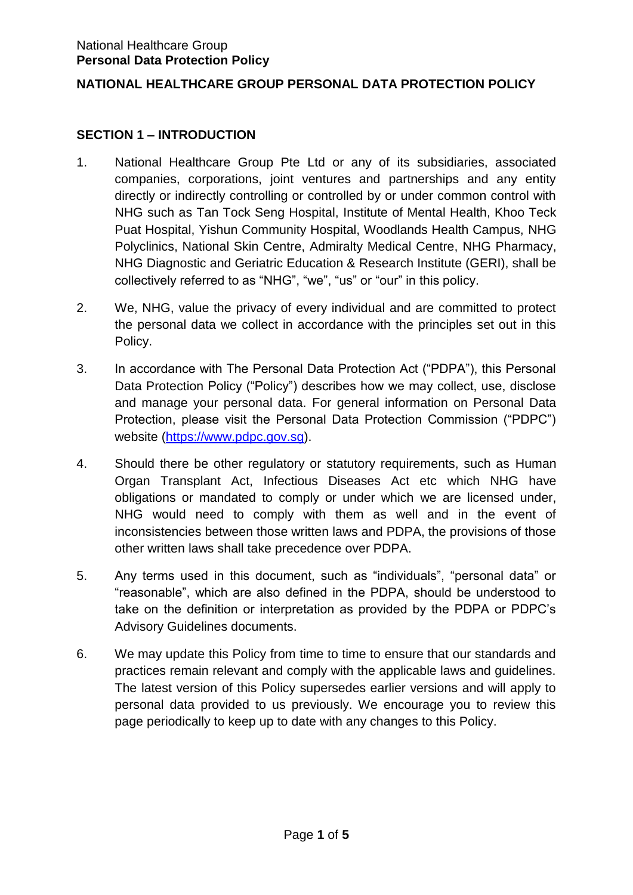### **NATIONAL HEALTHCARE GROUP PERSONAL DATA PROTECTION POLICY**

### **SECTION 1 – INTRODUCTION**

- 1. National Healthcare Group Pte Ltd or any of its subsidiaries, associated companies, corporations, joint ventures and partnerships and any entity directly or indirectly controlling or controlled by or under common control with NHG such as Tan Tock Seng Hospital, Institute of Mental Health, Khoo Teck Puat Hospital, Yishun Community Hospital, Woodlands Health Campus, NHG Polyclinics, National Skin Centre, Admiralty Medical Centre, NHG Pharmacy, NHG Diagnostic and Geriatric Education & Research Institute (GERI), shall be collectively referred to as "NHG", "we", "us" or "our" in this policy.
- 2. We, NHG, value the privacy of every individual and are committed to protect the personal data we collect in accordance with the principles set out in this Policy.
- 3. In accordance with The Personal Data Protection Act ("PDPA"), this Personal Data Protection Policy ("Policy") describes how we may collect, use, disclose and manage your personal data. For general information on Personal Data Protection, please visit the Personal Data Protection Commission ("PDPC") website [\(https://www.pdpc.gov.sg\)](https://www.pdpc.gov.sg/).
- 4. Should there be other regulatory or statutory requirements, such as Human Organ Transplant Act, Infectious Diseases Act etc which NHG have obligations or mandated to comply or under which we are licensed under, NHG would need to comply with them as well and in the event of inconsistencies between those written laws and PDPA, the provisions of those other written laws shall take precedence over PDPA.
- 5. Any terms used in this document, such as "individuals", "personal data" or "reasonable", which are also defined in the PDPA, should be understood to take on the definition or interpretation as provided by the PDPA or PDPC's Advisory Guidelines documents.
- 6. We may update this Policy from time to time to ensure that our standards and practices remain relevant and comply with the applicable laws and guidelines. The latest version of this Policy supersedes earlier versions and will apply to personal data provided to us previously. We encourage you to review this page periodically to keep up to date with any changes to this Policy.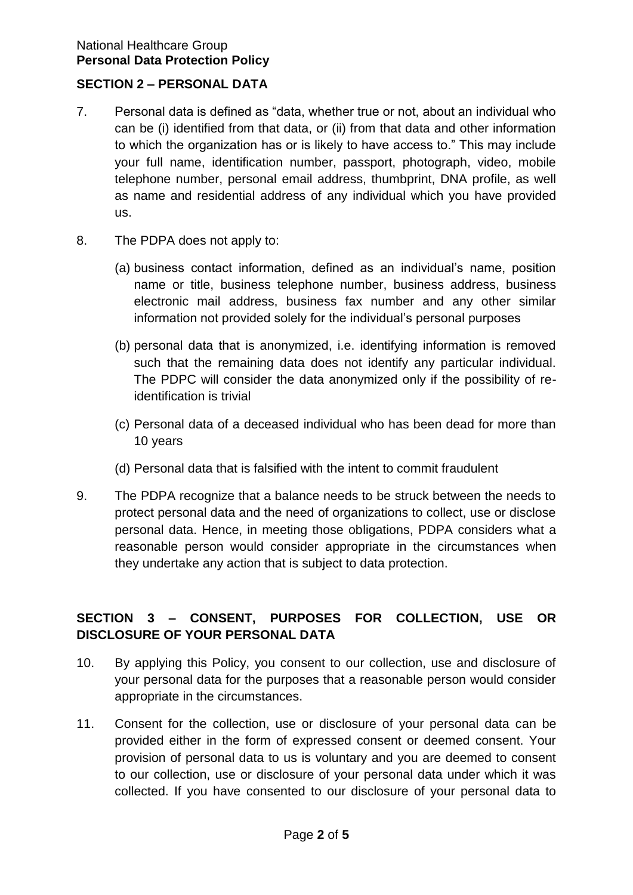#### National Healthcare Group **Personal Data Protection Policy**

## **SECTION 2 – PERSONAL DATA**

- 7. Personal data is defined as "data, whether true or not, about an individual who can be (i) identified from that data, or (ii) from that data and other information to which the organization has or is likely to have access to." This may include your full name, identification number, passport, photograph, video, mobile telephone number, personal email address, thumbprint, DNA profile, as well as name and residential address of any individual which you have provided us.
- 8. The PDPA does not apply to:
	- (a) business contact information, defined as an individual's name, position name or title, business telephone number, business address, business electronic mail address, business fax number and any other similar information not provided solely for the individual's personal purposes
	- (b) personal data that is anonymized, i.e. identifying information is removed such that the remaining data does not identify any particular individual. The PDPC will consider the data anonymized only if the possibility of reidentification is trivial
	- (c) Personal data of a deceased individual who has been dead for more than 10 years
	- (d) Personal data that is falsified with the intent to commit fraudulent
- 9. The PDPA recognize that a balance needs to be struck between the needs to protect personal data and the need of organizations to collect, use or disclose personal data. Hence, in meeting those obligations, PDPA considers what a reasonable person would consider appropriate in the circumstances when they undertake any action that is subject to data protection.

# **SECTION 3 – CONSENT, PURPOSES FOR COLLECTION, USE OR DISCLOSURE OF YOUR PERSONAL DATA**

- 10. By applying this Policy, you consent to our collection, use and disclosure of your personal data for the purposes that a reasonable person would consider appropriate in the circumstances.
- 11. Consent for the collection, use or disclosure of your personal data can be provided either in the form of expressed consent or deemed consent. Your provision of personal data to us is voluntary and you are deemed to consent to our collection, use or disclosure of your personal data under which it was collected. If you have consented to our disclosure of your personal data to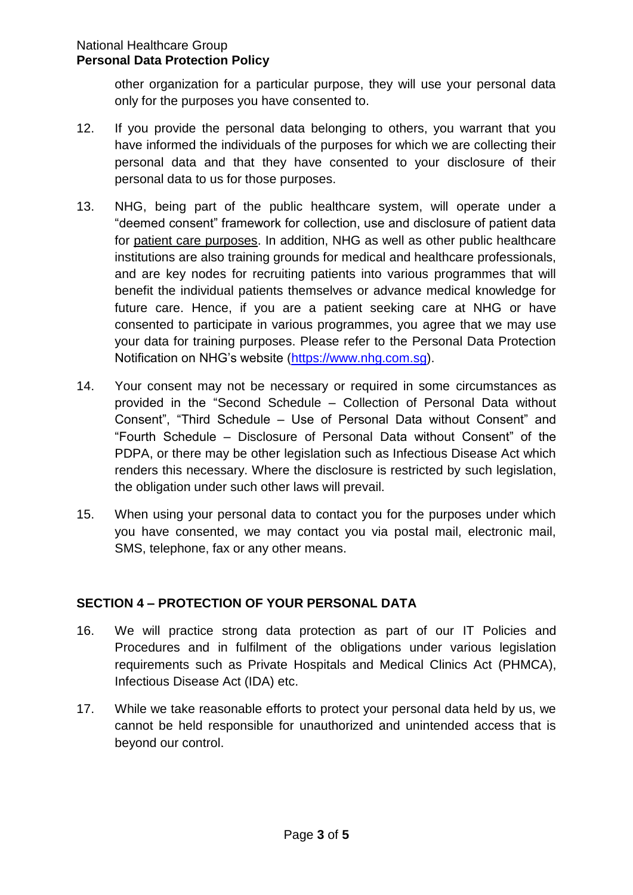other organization for a particular purpose, they will use your personal data only for the purposes you have consented to.

- 12. If you provide the personal data belonging to others, you warrant that you have informed the individuals of the purposes for which we are collecting their personal data and that they have consented to your disclosure of their personal data to us for those purposes.
- 13. NHG, being part of the public healthcare system, will operate under a "deemed consent" framework for collection, use and disclosure of patient data for patient care purposes. In addition, NHG as well as other public healthcare institutions are also training grounds for medical and healthcare professionals, and are key nodes for recruiting patients into various programmes that will benefit the individual patients themselves or advance medical knowledge for future care. Hence, if you are a patient seeking care at NHG or have consented to participate in various programmes, you agree that we may use your data for training purposes. Please refer to the Personal Data Protection Notification on NHG's website [\(https://www.nhg.com.sg\)](https://www.nhg.com.sg/).
- 14. Your consent may not be necessary or required in some circumstances as provided in the "Second Schedule – Collection of Personal Data without Consent", "Third Schedule – Use of Personal Data without Consent" and "Fourth Schedule – Disclosure of Personal Data without Consent" of the PDPA, or there may be other legislation such as Infectious Disease Act which renders this necessary. Where the disclosure is restricted by such legislation, the obligation under such other laws will prevail.
- 15. When using your personal data to contact you for the purposes under which you have consented, we may contact you via postal mail, electronic mail, SMS, telephone, fax or any other means.

# **SECTION 4 – PROTECTION OF YOUR PERSONAL DATA**

- 16. We will practice strong data protection as part of our IT Policies and Procedures and in fulfilment of the obligations under various legislation requirements such as Private Hospitals and Medical Clinics Act (PHMCA), Infectious Disease Act (IDA) etc.
- 17. While we take reasonable efforts to protect your personal data held by us, we cannot be held responsible for unauthorized and unintended access that is beyond our control.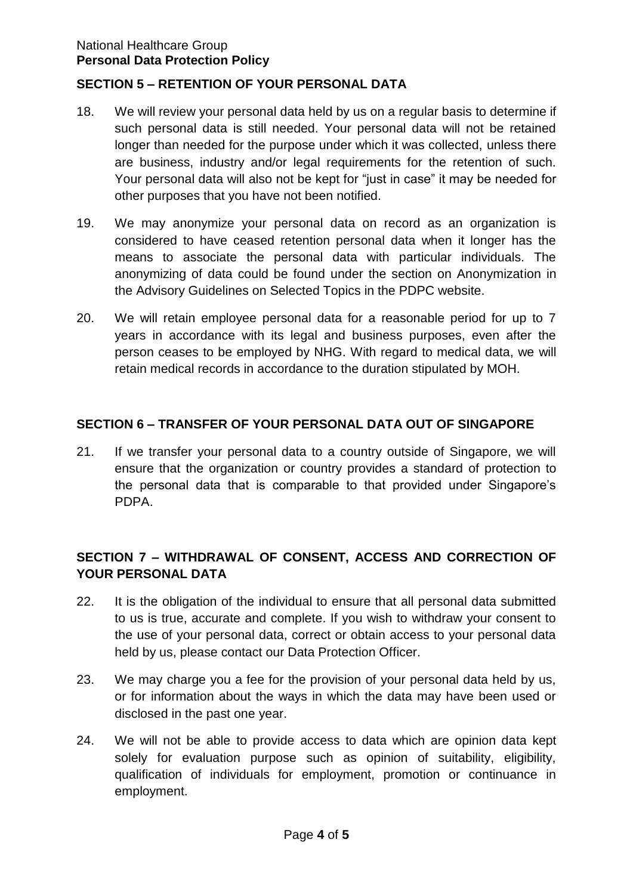#### National Healthcare Group **Personal Data Protection Policy**

## **SECTION 5 – RETENTION OF YOUR PERSONAL DATA**

- 18. We will review your personal data held by us on a regular basis to determine if such personal data is still needed. Your personal data will not be retained longer than needed for the purpose under which it was collected, unless there are business, industry and/or legal requirements for the retention of such. Your personal data will also not be kept for "just in case" it may be needed for other purposes that you have not been notified.
- 19. We may anonymize your personal data on record as an organization is considered to have ceased retention personal data when it longer has the means to associate the personal data with particular individuals. The anonymizing of data could be found under the section on Anonymization in the Advisory Guidelines on Selected Topics in the PDPC website.
- 20. We will retain employee personal data for a reasonable period for up to 7 years in accordance with its legal and business purposes, even after the person ceases to be employed by NHG. With regard to medical data, we will retain medical records in accordance to the duration stipulated by MOH.

### **SECTION 6 – TRANSFER OF YOUR PERSONAL DATA OUT OF SINGAPORE**

21. If we transfer your personal data to a country outside of Singapore, we will ensure that the organization or country provides a standard of protection to the personal data that is comparable to that provided under Singapore's PDPA.

# **SECTION 7 – WITHDRAWAL OF CONSENT, ACCESS AND CORRECTION OF YOUR PERSONAL DATA**

- 22. It is the obligation of the individual to ensure that all personal data submitted to us is true, accurate and complete. If you wish to withdraw your consent to the use of your personal data, correct or obtain access to your personal data held by us, please contact our Data Protection Officer.
- 23. We may charge you a fee for the provision of your personal data held by us, or for information about the ways in which the data may have been used or disclosed in the past one year.
- 24. We will not be able to provide access to data which are opinion data kept solely for evaluation purpose such as opinion of suitability, eligibility, qualification of individuals for employment, promotion or continuance in employment.